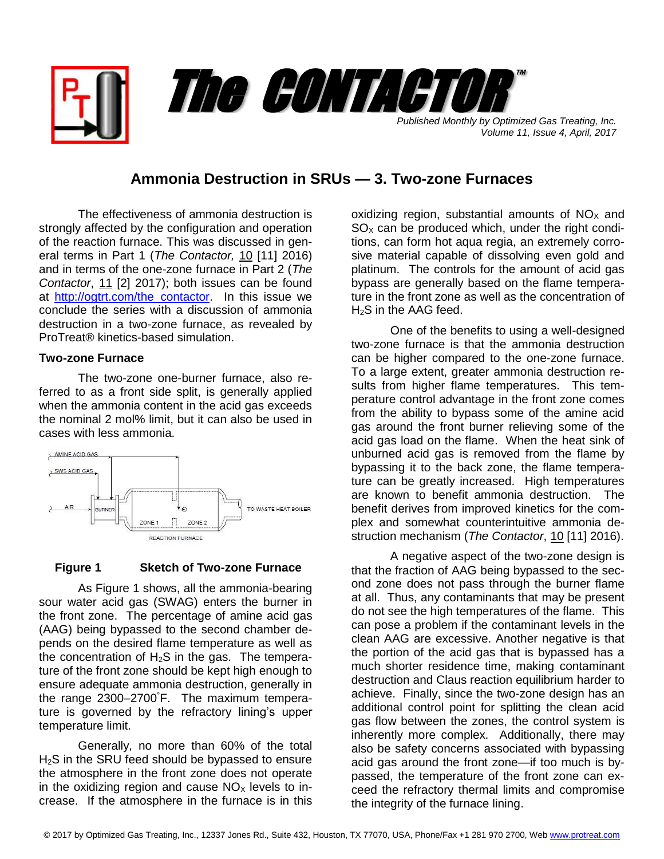

*Volume 11, Issue 4, April, 2017*

# **Ammonia Destruction in SRUs — 3. Two-zone Furnaces**

The effectiveness of ammonia destruction is strongly affected by the configuration and operation of the reaction furnace. This was discussed in general terms in Part 1 (*The Contactor,* 10 [11] 2016) and in terms of the one-zone furnace in Part 2 (*The Contactor*, 11 [2] 2017); both issues can be found at [http://ogtrt.com/the\\_contactor.](http://ogtrt.com/the_contactor) In this issue we conclude the series with a discussion of ammonia destruction in a two-zone furnace, as revealed by ProTreat® kinetics-based simulation.

## **Two-zone Furnace**

The two-zone one-burner furnace, also referred to as a front side split, is generally applied when the ammonia content in the acid gas exceeds the nominal 2 mol% limit, but it can also be used in cases with less ammonia.



### **Figure 1 Sketch of Two-zone Furnace**

 As Figure 1 shows, all the ammonia-bearing sour water acid gas (SWAG) enters the burner in the front zone. The percentage of amine acid gas (AAG) being bypassed to the second chamber depends on the desired flame temperature as well as the concentration of  $H_2S$  in the gas. The temperature of the front zone should be kept high enough to ensure adequate ammonia destruction, generally in the range 2300–2700°F. The maximum temperature is governed by the refractory lining's upper temperature limit.

Generally, no more than 60% of the total H<sub>2</sub>S in the SRU feed should be bypassed to ensure the atmosphere in the front zone does not operate in the oxidizing region and cause  $NO<sub>x</sub>$  levels to increase. If the atmosphere in the furnace is in this

oxidizing region, substantial amounts of  $NO<sub>x</sub>$  and  $SO<sub>x</sub>$  can be produced which, under the right conditions, can form hot aqua regia, an extremely corrosive material capable of dissolving even gold and platinum. The controls for the amount of acid gas bypass are generally based on the flame temperature in the front zone as well as the concentration of H2S in the AAG feed.

One of the benefits to using a well-designed two-zone furnace is that the ammonia destruction can be higher compared to the one-zone furnace. To a large extent, greater ammonia destruction results from higher flame temperatures. This temperature control advantage in the front zone comes from the ability to bypass some of the amine acid gas around the front burner relieving some of the acid gas load on the flame. When the heat sink of unburned acid gas is removed from the flame by bypassing it to the back zone, the flame temperature can be greatly increased. High temperatures are known to benefit ammonia destruction. The benefit derives from improved kinetics for the complex and somewhat counterintuitive ammonia destruction mechanism (*The Contactor*, 10 [11] 2016).

A negative aspect of the two-zone design is that the fraction of AAG being bypassed to the second zone does not pass through the burner flame at all. Thus, any contaminants that may be present do not see the high temperatures of the flame. This can pose a problem if the contaminant levels in the clean AAG are excessive. Another negative is that the portion of the acid gas that is bypassed has a much shorter residence time, making contaminant destruction and Claus reaction equilibrium harder to achieve. Finally, since the two-zone design has an additional control point for splitting the clean acid gas flow between the zones, the control system is inherently more complex. Additionally, there may also be safety concerns associated with bypassing acid gas around the front zone—if too much is bypassed, the temperature of the front zone can exceed the refractory thermal limits and compromise the integrity of the furnace lining.